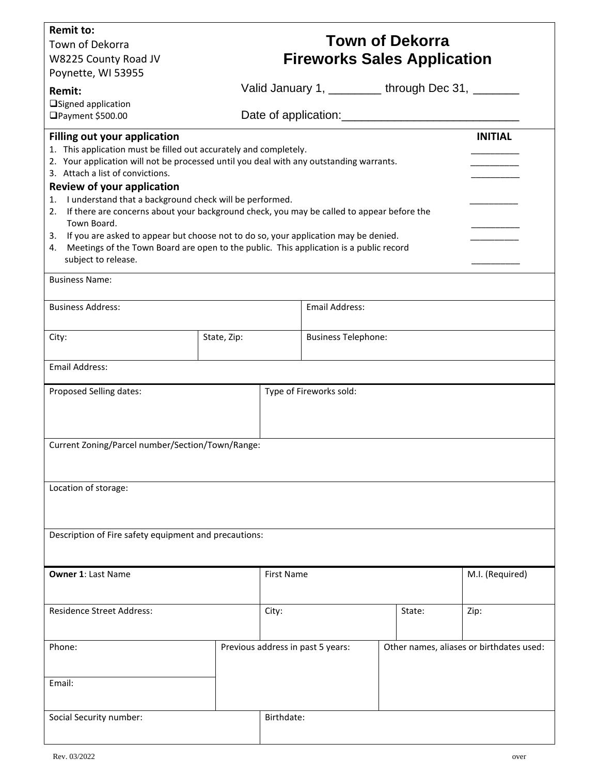| <b>Remit to:</b><br>Town of Dekorra<br>W8225 County Road JV<br>Poynette, WI 53955                                                                                                                                                                                                                                                                                                                                                                                                                                                                                                                                                                                                        |             | <b>Town of Dekorra</b><br><b>Fireworks Sales Application</b> |                                                  |  |                                          |  |  |
|------------------------------------------------------------------------------------------------------------------------------------------------------------------------------------------------------------------------------------------------------------------------------------------------------------------------------------------------------------------------------------------------------------------------------------------------------------------------------------------------------------------------------------------------------------------------------------------------------------------------------------------------------------------------------------------|-------------|--------------------------------------------------------------|--------------------------------------------------|--|------------------------------------------|--|--|
| Remit:                                                                                                                                                                                                                                                                                                                                                                                                                                                                                                                                                                                                                                                                                   |             |                                                              | Valid January 1, ________ through Dec 31, ______ |  |                                          |  |  |
| □Signed application<br>□Payment \$500.00                                                                                                                                                                                                                                                                                                                                                                                                                                                                                                                                                                                                                                                 |             |                                                              |                                                  |  |                                          |  |  |
| <b>Filling out your application</b><br><b>INITIAL</b><br>1. This application must be filled out accurately and completely.<br>2. Your application will not be processed until you deal with any outstanding warrants.<br>3. Attach a list of convictions.<br>Review of your application<br>I understand that a background check will be performed.<br>1.<br>If there are concerns about your background check, you may be called to appear before the<br>2.<br>Town Board.<br>3. If you are asked to appear but choose not to do so, your application may be denied.<br>4. Meetings of the Town Board are open to the public. This application is a public record<br>subject to release. |             |                                                              |                                                  |  |                                          |  |  |
| <b>Business Name:</b>                                                                                                                                                                                                                                                                                                                                                                                                                                                                                                                                                                                                                                                                    |             |                                                              |                                                  |  |                                          |  |  |
| <b>Business Address:</b>                                                                                                                                                                                                                                                                                                                                                                                                                                                                                                                                                                                                                                                                 |             |                                                              | <b>Email Address:</b>                            |  |                                          |  |  |
| City:                                                                                                                                                                                                                                                                                                                                                                                                                                                                                                                                                                                                                                                                                    | State, Zip: |                                                              | <b>Business Telephone:</b>                       |  |                                          |  |  |
| <b>Email Address:</b>                                                                                                                                                                                                                                                                                                                                                                                                                                                                                                                                                                                                                                                                    |             |                                                              |                                                  |  |                                          |  |  |
| Proposed Selling dates:                                                                                                                                                                                                                                                                                                                                                                                                                                                                                                                                                                                                                                                                  |             | Type of Fireworks sold:                                      |                                                  |  |                                          |  |  |
| Current Zoning/Parcel number/Section/Town/Range:                                                                                                                                                                                                                                                                                                                                                                                                                                                                                                                                                                                                                                         |             |                                                              |                                                  |  |                                          |  |  |
| Location of storage:                                                                                                                                                                                                                                                                                                                                                                                                                                                                                                                                                                                                                                                                     |             |                                                              |                                                  |  |                                          |  |  |
| Description of Fire safety equipment and precautions:                                                                                                                                                                                                                                                                                                                                                                                                                                                                                                                                                                                                                                    |             |                                                              |                                                  |  |                                          |  |  |
| <b>Owner 1: Last Name</b>                                                                                                                                                                                                                                                                                                                                                                                                                                                                                                                                                                                                                                                                |             | <b>First Name</b>                                            |                                                  |  | M.I. (Required)                          |  |  |
| <b>Residence Street Address:</b>                                                                                                                                                                                                                                                                                                                                                                                                                                                                                                                                                                                                                                                         |             | City:                                                        | State:                                           |  | Zip:                                     |  |  |
| Phone:                                                                                                                                                                                                                                                                                                                                                                                                                                                                                                                                                                                                                                                                                   |             |                                                              | Previous address in past 5 years:                |  | Other names, aliases or birthdates used: |  |  |
| Email:                                                                                                                                                                                                                                                                                                                                                                                                                                                                                                                                                                                                                                                                                   |             |                                                              |                                                  |  |                                          |  |  |
| Social Security number:                                                                                                                                                                                                                                                                                                                                                                                                                                                                                                                                                                                                                                                                  |             |                                                              | Birthdate:                                       |  |                                          |  |  |